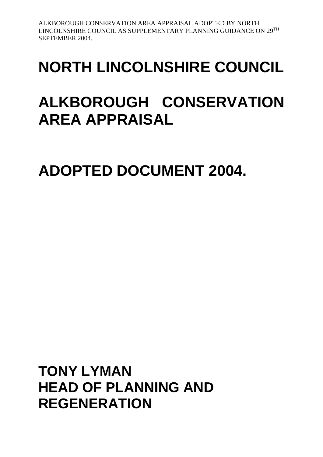# **NORTH LINCOLNSHIRE COUNCIL**

## **ALKBOROUGH CONSERVATION AREA APPRAISAL**

**ADOPTED DOCUMENT 2004.**

**TONY LYMAN HEAD OF PLANNING AND REGENERATION**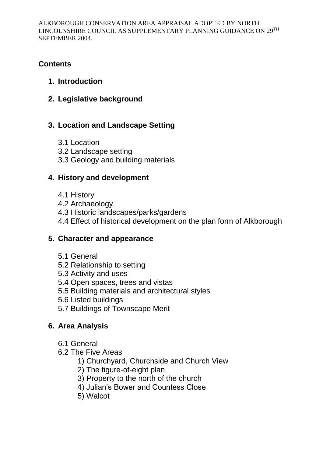## **Contents**

## **1. Introduction**

**2. Legislative background**

## **3. Location and Landscape Setting**

- 3.1 Location
- 3.2 Landscape setting
- 3.3 Geology and building materials

## **4. History and development**

- 4.1 History
- 4.2 Archaeology
- 4.3 Historic landscapes/parks/gardens
- 4.4 Effect of historical development on the plan form of Alkborough

## **5. Character and appearance**

- 5.1 General
- 5.2 Relationship to setting
- 5.3 Activity and uses
- 5.4 Open spaces, trees and vistas
- 5.5 Building materials and architectural styles
- 5.6 Listed buildings
- 5.7 Buildings of Townscape Merit

## **6. Area Analysis**

- 6.1 General
- 6.2 The Five Areas
	- 1) Churchyard, Churchside and Church View
	- 2) The figure-of-eight plan
	- 3) Property to the north of the church
	- 4) Julian's Bower and Countess Close
	- 5) Walcot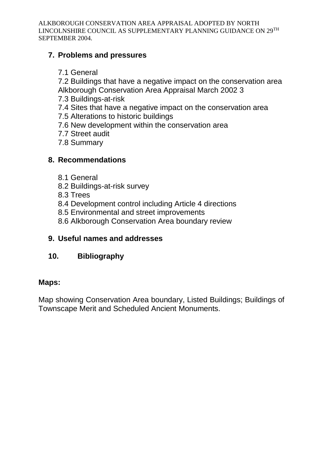## **7. Problems and pressures**

- 7.1 General
- 7.2 Buildings that have a negative impact on the conservation area Alkborough Conservation Area Appraisal March 2002 3
- 7.3 Buildings-at-risk
- 7.4 Sites that have a negative impact on the conservation area
- 7.5 Alterations to historic buildings
- 7.6 New development within the conservation area
- 7.7 Street audit
- 7.8 Summary

## **8. Recommendations**

- 8.1 General
- 8.2 Buildings-at-risk survey
- 8.3 Trees
- 8.4 Development control including Article 4 directions
- 8.5 Environmental and street improvements
- 8.6 Alkborough Conservation Area boundary review

## **9. Useful names and addresses**

## **10. Bibliography**

## **Maps:**

Map showing Conservation Area boundary, Listed Buildings; Buildings of Townscape Merit and Scheduled Ancient Monuments.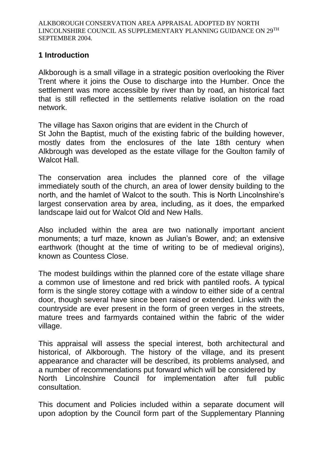## **1 Introduction**

Alkborough is a small village in a strategic position overlooking the River Trent where it joins the Ouse to discharge into the Humber. Once the settlement was more accessible by river than by road, an historical fact that is still reflected in the settlements relative isolation on the road network.

The village has Saxon origins that are evident in the Church of St John the Baptist, much of the existing fabric of the building however, mostly dates from the enclosures of the late 18th century when Alkbrough was developed as the estate village for the Goulton family of Walcot Hall.

The conservation area includes the planned core of the village immediately south of the church, an area of lower density building to the north, and the hamlet of Walcot to the south. This is North Lincolnshire's largest conservation area by area, including, as it does, the emparked landscape laid out for Walcot Old and New Halls.

Also included within the area are two nationally important ancient monuments; a turf maze, known as Julian's Bower, and; an extensive earthwork (thought at the time of writing to be of medieval origins), known as Countess Close.

The modest buildings within the planned core of the estate village share a common use of limestone and red brick with pantiled roofs. A typical form is the single storey cottage with a window to either side of a central door, though several have since been raised or extended. Links with the countryside are ever present in the form of green verges in the streets, mature trees and farmyards contained within the fabric of the wider village.

This appraisal will assess the special interest, both architectural and historical, of Alkborough. The history of the village, and its present appearance and character will be described, its problems analysed, and a number of recommendations put forward which will be considered by North Lincolnshire Council for implementation after full public consultation.

This document and Policies included within a separate document will upon adoption by the Council form part of the Supplementary Planning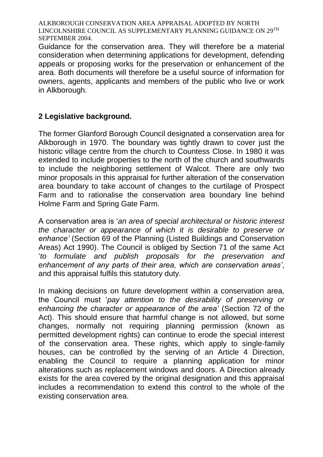Guidance for the conservation area. They will therefore be a material consideration when determining applications for development, defending appeals or proposing works for the preservation or enhancement of the area. Both documents will therefore be a useful source of information for owners, agents, applicants and members of the public who live or work in Alkborough.

## **2 Legislative background.**

The former Glanford Borough Council designated a conservation area for Alkborough in 1970. The boundary was tightly drawn to cover just the historic village centre from the church to Countess Close. In 1980 it was extended to include properties to the north of the church and southwards to include the neighboring settlement of Walcot. There are only two minor proposals in this appraisal for further alteration of the conservation area boundary to take account of changes to the curtilage of Prospect Farm and to rationalise the conservation area boundary line behind Holme Farm and Spring Gate Farm.

A conservation area is '*an area of special architectural or historic interest the character or appearance of which it is desirable to preserve or enhance'* (Section 69 of the Planning (Listed Buildings and Conservation Areas) Act 1990). The Council is obliged by Section 71 of the same Act '*to formulate and publish proposals for the preservation and enhancement of any parts of their area, which are conservation areas'*, and this appraisal fulfils this statutory duty.

In making decisions on future development within a conservation area, the Council must '*pay attention to the desirability of preserving or enhancing the character or appearance of the area'* (Section 72 of the Act). This should ensure that harmful change is not allowed, but some changes, normally not requiring planning permission (known as permitted development rights) can continue to erode the special interest of the conservation area. These rights, which apply to single-family houses, can be controlled by the serving of an Article 4 Direction, enabling the Council to require a planning application for minor alterations such as replacement windows and doors. A Direction already exists for the area covered by the original designation and this appraisal includes a recommendation to extend this control to the whole of the existing conservation area.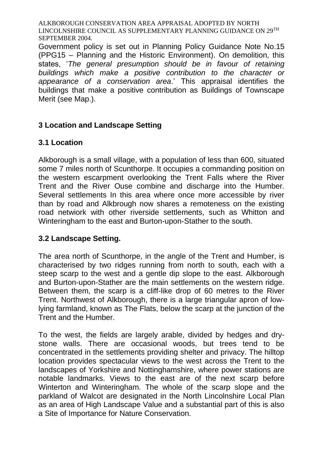Government policy is set out in Planning Policy Guidance Note No.15 (PPG15 – Planning and the Historic Environment). On demolition, this states, '*The general presumption should be in favour of retaining buildings which make a positive contribution to the character or appearance of a conservation area*.' This appraisal identifies the buildings that make a positive contribution as Buildings of Townscape Merit (see Map.).

## **3 Location and Landscape Setting**

## **3.1 Location**

Alkborough is a small village, with a population of less than 600, situated some 7 miles north of Scunthorpe. It occupies a commanding position on the western escarpment overlooking the Trent Falls where the River Trent and the River Ouse combine and discharge into the Humber. Several settlements In this area where once more accessible by river than by road and Alkbrough now shares a remoteness on the existing road netwiork with other riverside settlements, such as Whitton and Winteringham to the east and Burton-upon-Stather to the south.

## **3.2 Landscape Setting.**

The area north of Scunthorpe, in the angle of the Trent and Humber, is characterised by two ridges running from north to south, each with a steep scarp to the west and a gentle dip slope to the east. Alkborough and Burton-upon-Stather are the main settlements on the western ridge. Between them, the scarp is a cliff-like drop of 60 metres to the River Trent. Northwest of Alkborough, there is a large triangular apron of lowlying farmland, known as The Flats, below the scarp at the junction of the Trent and the Humber.

To the west, the fields are largely arable, divided by hedges and drystone walls. There are occasional woods, but trees tend to be concentrated in the settlements providing shelter and privacy. The hilltop location provides spectacular views to the west across the Trent to the landscapes of Yorkshire and Nottinghamshire, where power stations are notable landmarks. Views to the east are of the next scarp before Winterton and Winteringham. The whole of the scarp slope and the parkland of Walcot are designated in the North Lincolnshire Local Plan as an area of High Landscape Value and a substantial part of this is also a Site of Importance for Nature Conservation.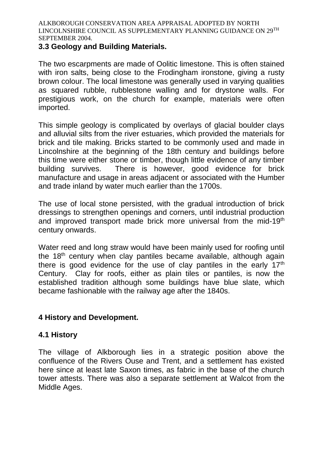#### **3.3 Geology and Building Materials.**

The two escarpments are made of Oolitic limestone. This is often stained with iron salts, being close to the Frodingham ironstone, giving a rusty brown colour. The local limestone was generally used in varying qualities as squared rubble, rubblestone walling and for drystone walls. For prestigious work, on the church for example, materials were often imported.

This simple geology is complicated by overlays of glacial boulder clays and alluvial silts from the river estuaries, which provided the materials for brick and tile making. Bricks started to be commonly used and made in Lincolnshire at the beginning of the 18th century and buildings before this time were either stone or timber, though little evidence of any timber building survives. There is however, good evidence for brick manufacture and usage in areas adjacent or associated with the Humber and trade inland by water much earlier than the 1700s.

The use of local stone persisted, with the gradual introduction of brick dressings to strengthen openings and corners, until industrial production and improved transport made brick more universal from the mid-19<sup>th</sup> century onwards.

Water reed and long straw would have been mainly used for roofing until the 18<sup>th</sup> century when clay pantiles became available, although again there is good evidence for the use of clay pantiles in the early  $17<sup>th</sup>$ Century. Clay for roofs, either as plain tiles or pantiles, is now the established tradition although some buildings have blue slate, which became fashionable with the railway age after the 1840s.

## **4 History and Development.**

## **4.1 History**

The village of Alkborough lies in a strategic position above the confluence of the Rivers Ouse and Trent, and a settlement has existed here since at least late Saxon times, as fabric in the base of the church tower attests. There was also a separate settlement at Walcot from the Middle Ages.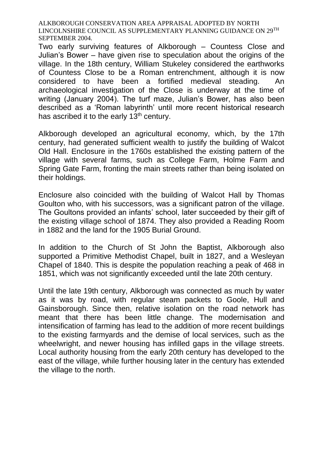Two early surviving features of Alkborough – Countess Close and Julian's Bower – have given rise to speculation about the origins of the village. In the 18th century, William Stukeley considered the earthworks of Countess Close to be a Roman entrenchment, although it is now considered to have been a fortified medieval steading. An archaeological investigation of the Close is underway at the time of writing (January 2004). The turf maze, Julian's Bower, has also been described as a 'Roman labyrinth' until more recent historical research has ascribed it to the early  $13<sup>th</sup>$  century.

Alkborough developed an agricultural economy, which, by the 17th century, had generated sufficient wealth to justify the building of Walcot Old Hall. Enclosure in the 1760s established the existing pattern of the village with several farms, such as College Farm, Holme Farm and Spring Gate Farm, fronting the main streets rather than being isolated on their holdings.

Enclosure also coincided with the building of Walcot Hall by Thomas Goulton who, with his successors, was a significant patron of the village. The Goultons provided an infants' school, later succeeded by their gift of the existing village school of 1874. They also provided a Reading Room in 1882 and the land for the 1905 Burial Ground.

In addition to the Church of St John the Baptist, Alkborough also supported a Primitive Methodist Chapel, built in 1827, and a Wesleyan Chapel of 1840. This is despite the population reaching a peak of 468 in 1851, which was not significantly exceeded until the late 20th century.

Until the late 19th century, Alkborough was connected as much by water as it was by road, with regular steam packets to Goole, Hull and Gainsborough. Since then, relative isolation on the road network has meant that there has been little change. The modernisation and intensification of farming has lead to the addition of more recent buildings to the existing farmyards and the demise of local services, such as the wheelwright, and newer housing has infilled gaps in the village streets. Local authority housing from the early 20th century has developed to the east of the village, while further housing later in the century has extended the village to the north.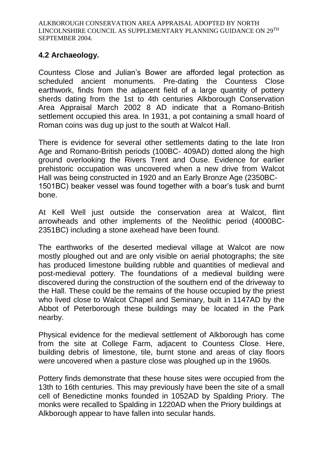## **4.2 Archaeology.**

Countess Close and Julian's Bower are afforded legal protection as scheduled ancient monuments. Pre-dating the Countess Close earthwork, finds from the adjacent field of a large quantity of pottery sherds dating from the 1st to 4th centuries Alkborough Conservation Area Appraisal March 2002 8 AD indicate that a Romano-British settlement occupied this area. In 1931, a pot containing a small hoard of Roman coins was dug up just to the south at Walcot Hall.

There is evidence for several other settlements dating to the late Iron Age and Romano-British periods (100BC- 409AD) dotted along the high ground overlooking the Rivers Trent and Ouse. Evidence for earlier prehistoric occupation was uncovered when a new drive from Walcot Hall was being constructed in 1920 and an Early Bronze Age (2350BC-1501BC) beaker vessel was found together with a boar's tusk and burnt bone.

At Kell Well just outside the conservation area at Walcot, flint arrowheads and other implements of the Neolithic period (4000BC-2351BC) including a stone axehead have been found.

The earthworks of the deserted medieval village at Walcot are now mostly ploughed out and are only visible on aerial photographs; the site has produced limestone building rubble and quantities of medieval and post-medieval pottery. The foundations of a medieval building were discovered during the construction of the southern end of the driveway to the Hall. These could be the remains of the house occupied by the priest who lived close to Walcot Chapel and Seminary, built in 1147AD by the Abbot of Peterborough these buildings may be located in the Park nearby.

Physical evidence for the medieval settlement of Alkborough has come from the site at College Farm, adjacent to Countess Close. Here, building debris of limestone, tile, burnt stone and areas of clay floors were uncovered when a pasture close was ploughed up in the 1960s.

Pottery finds demonstrate that these house sites were occupied from the 13th to 16th centuries. This may previously have been the site of a small cell of Benedictine monks founded in 1052AD by Spalding Priory. The monks were recalled to Spalding in 1220AD when the Priory buildings at Alkborough appear to have fallen into secular hands.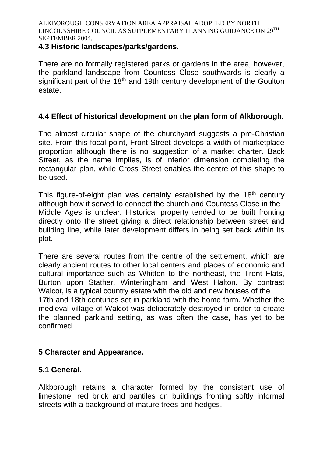#### **4.3 Historic landscapes/parks/gardens.**

There are no formally registered parks or gardens in the area, however, the parkland landscape from Countess Close southwards is clearly a significant part of the 18<sup>th</sup> and 19th century development of the Goulton estate.

## **4.4 Effect of historical development on the plan form of Alkborough.**

The almost circular shape of the churchyard suggests a pre-Christian site. From this focal point, Front Street develops a width of marketplace proportion although there is no suggestion of a market charter. Back Street, as the name implies, is of inferior dimension completing the rectangular plan, while Cross Street enables the centre of this shape to be used.

This figure-of-eight plan was certainly established by the 18<sup>th</sup> century although how it served to connect the church and Countess Close in the Middle Ages is unclear. Historical property tended to be built fronting directly onto the street giving a direct relationship between street and building line, while later development differs in being set back within its plot.

There are several routes from the centre of the settlement, which are clearly ancient routes to other local centers and places of economic and cultural importance such as Whitton to the northeast, the Trent Flats, Burton upon Stather, Winteringham and West Halton. By contrast Walcot, is a typical country estate with the old and new houses of the 17th and 18th centuries set in parkland with the home farm. Whether the medieval village of Walcot was deliberately destroyed in order to create the planned parkland setting, as was often the case, has yet to be confirmed.

## **5 Character and Appearance.**

## **5.1 General.**

Alkborough retains a character formed by the consistent use of limestone, red brick and pantiles on buildings fronting softly informal streets with a background of mature trees and hedges.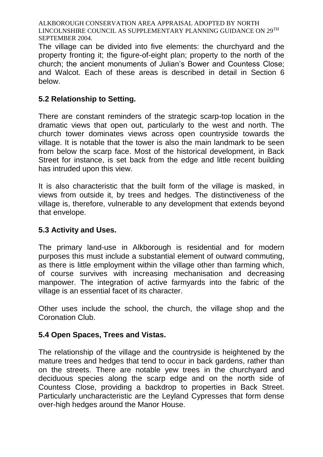The village can be divided into five elements: the churchyard and the property fronting it; the figure-of-eight plan; property to the north of the church; the ancient monuments of Julian's Bower and Countess Close; and Walcot. Each of these areas is described in detail in Section 6 below.

## **5.2 Relationship to Setting.**

There are constant reminders of the strategic scarp-top location in the dramatic views that open out, particularly to the west and north. The church tower dominates views across open countryside towards the village. It is notable that the tower is also the main landmark to be seen from below the scarp face. Most of the historical development, in Back Street for instance, is set back from the edge and little recent building has intruded upon this view.

It is also characteristic that the built form of the village is masked, in views from outside it, by trees and hedges. The distinctiveness of the village is, therefore, vulnerable to any development that extends beyond that envelope.

## **5.3 Activity and Uses.**

The primary land-use in Alkborough is residential and for modern purposes this must include a substantial element of outward commuting, as there is little employment within the village other than farming which, of course survives with increasing mechanisation and decreasing manpower. The integration of active farmyards into the fabric of the village is an essential facet of its character.

Other uses include the school, the church, the village shop and the Coronation Club.

## **5.4 Open Spaces, Trees and Vistas.**

The relationship of the village and the countryside is heightened by the mature trees and hedges that tend to occur in back gardens, rather than on the streets. There are notable yew trees in the churchyard and deciduous species along the scarp edge and on the north side of Countess Close, providing a backdrop to properties in Back Street. Particularly uncharacteristic are the Leyland Cypresses that form dense over-high hedges around the Manor House.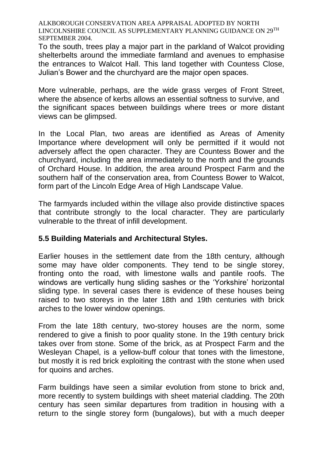To the south, trees play a major part in the parkland of Walcot providing shelterbelts around the immediate farmland and avenues to emphasise the entrances to Walcot Hall. This land together with Countess Close, Julian's Bower and the churchyard are the major open spaces.

More vulnerable, perhaps, are the wide grass verges of Front Street, where the absence of kerbs allows an essential softness to survive, and the significant spaces between buildings where trees or more distant views can be glimpsed.

In the Local Plan, two areas are identified as Areas of Amenity Importance where development will only be permitted if it would not adversely affect the open character. They are Countess Bower and the churchyard, including the area immediately to the north and the grounds of Orchard House. In addition, the area around Prospect Farm and the southern half of the conservation area, from Countess Bower to Walcot, form part of the Lincoln Edge Area of High Landscape Value.

The farmyards included within the village also provide distinctive spaces that contribute strongly to the local character. They are particularly vulnerable to the threat of infill development.

## **5.5 Building Materials and Architectural Styles.**

Earlier houses in the settlement date from the 18th century, although some may have older components. They tend to be single storey, fronting onto the road, with limestone walls and pantile roofs. The windows are vertically hung sliding sashes or the 'Yorkshire' horizontal sliding type. In several cases there is evidence of these houses being raised to two storeys in the later 18th and 19th centuries with brick arches to the lower window openings.

From the late 18th century, two-storey houses are the norm, some rendered to give a finish to poor quality stone. In the 19th century brick takes over from stone. Some of the brick, as at Prospect Farm and the Wesleyan Chapel, is a yellow-buff colour that tones with the limestone, but mostly it is red brick exploiting the contrast with the stone when used for quoins and arches.

Farm buildings have seen a similar evolution from stone to brick and, more recently to system buildings with sheet material cladding. The 20th century has seen similar departures from tradition in housing with a return to the single storey form (bungalows), but with a much deeper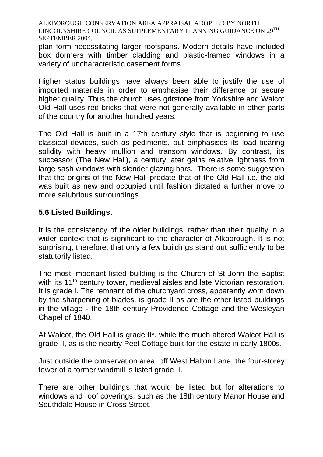plan form necessitating larger roofspans. Modern details have included box dormers with timber cladding and plastic-framed windows in a variety of uncharacteristic casement forms.

Higher status buildings have always been able to justify the use of imported materials in order to emphasise their difference or secure higher quality. Thus the church uses gritstone from Yorkshire and Walcot Old Hall uses red bricks that were not generally available in other parts of the country for another hundred years.

The Old Hall is built in a 17th century style that is beginning to use classical devices, such as pediments, but emphasises its load-bearing solidity with heavy mullion and transom windows. By contrast, its successor (The New Hall), a century later gains relative lightness from large sash windows with slender glazing bars. There is some suggestion that the origins of the New Hall predate that of the Old Hall i.e. the old was built as new and occupied until fashion dictated a further move to more salubrious surroundings.

## **5.6 Listed Buildings.**

It is the consistency of the older buildings, rather than their quality in a wider context that is significant to the character of Alkborough. It is not surprising, therefore, that only a few buildings stand out sufficiently to be statutorily listed.

The most important listed building is the Church of St John the Baptist with its 11<sup>th</sup> century tower, medieval aisles and late Victorian restoration. It is grade I. The remnant of the churchyard cross, apparently worn down by the sharpening of blades, is grade II as are the other listed buildings in the village - the 18th century Providence Cottage and the Wesleyan Chapel of 1840.

At Walcot, the Old Hall is grade II\*, while the much altered Walcot Hall is grade II, as is the nearby Peel Cottage built for the estate in early 1800s.

Just outside the conservation area, off West Halton Lane, the four-storey tower of a former windmill is listed grade II.

There are other buildings that would be listed but for alterations to windows and roof coverings, such as the 18th century Manor House and Southdale House in Cross Street.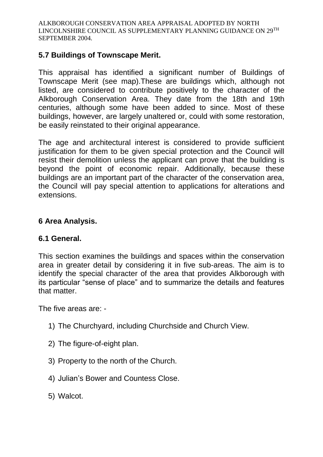### **5.7 Buildings of Townscape Merit.**

This appraisal has identified a significant number of Buildings of Townscape Merit (see map).These are buildings which, although not listed, are considered to contribute positively to the character of the Alkborough Conservation Area. They date from the 18th and 19th centuries, although some have been added to since. Most of these buildings, however, are largely unaltered or, could with some restoration, be easily reinstated to their original appearance.

The age and architectural interest is considered to provide sufficient justification for them to be given special protection and the Council will resist their demolition unless the applicant can prove that the building is beyond the point of economic repair. Additionally, because these buildings are an important part of the character of the conservation area, the Council will pay special attention to applications for alterations and extensions.

## **6 Area Analysis.**

#### **6.1 General.**

This section examines the buildings and spaces within the conservation area in greater detail by considering it in five sub-areas. The aim is to identify the special character of the area that provides Alkborough with its particular "sense of place" and to summarize the details and features that matter.

The five areas are: -

- 1) The Churchyard, including Churchside and Church View.
- 2) The figure-of-eight plan.
- 3) Property to the north of the Church.
- 4) Julian's Bower and Countess Close.
- 5) Walcot.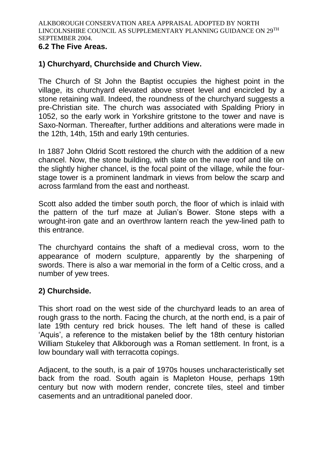#### **6.2 The Five Areas.**

## **1) Churchyard, Churchside and Church View.**

The Church of St John the Baptist occupies the highest point in the village, its churchyard elevated above street level and encircled by a stone retaining wall. Indeed, the roundness of the churchyard suggests a pre-Christian site. The church was associated with Spalding Priory in 1052, so the early work in Yorkshire gritstone to the tower and nave is Saxo-Norman. Thereafter, further additions and alterations were made in the 12th, 14th, 15th and early 19th centuries.

In 1887 John Oldrid Scott restored the church with the addition of a new chancel. Now, the stone building, with slate on the nave roof and tile on the slightly higher chancel, is the focal point of the village, while the fourstage tower is a prominent landmark in views from below the scarp and across farmland from the east and northeast.

Scott also added the timber south porch, the floor of which is inlaid with the pattern of the turf maze at Julian's Bower. Stone steps with a wrought-iron gate and an overthrow lantern reach the yew-lined path to this entrance.

The churchyard contains the shaft of a medieval cross, worn to the appearance of modern sculpture, apparently by the sharpening of swords. There is also a war memorial in the form of a Celtic cross, and a number of yew trees.

## **2) Churchside.**

This short road on the west side of the churchyard leads to an area of rough grass to the north. Facing the church, at the north end, is a pair of late 19th century red brick houses. The left hand of these is called 'Aquis', a reference to the mistaken belief by the 18th century historian William Stukeley that Alkborough was a Roman settlement. In front, is a low boundary wall with terracotta copings.

Adjacent, to the south, is a pair of 1970s houses uncharacteristically set back from the road. South again is Mapleton House, perhaps 19th century but now with modern render, concrete tiles, steel and timber casements and an untraditional paneled door.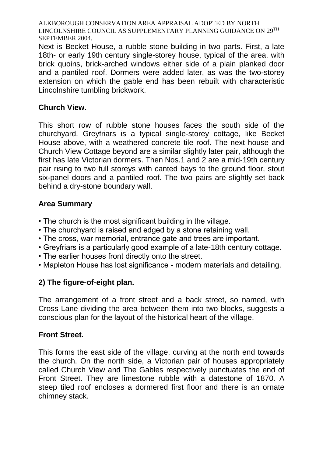Next is Becket House, a rubble stone building in two parts. First, a late 18th- or early 19th century single-storey house, typical of the area, with brick quoins, brick-arched windows either side of a plain planked door and a pantiled roof. Dormers were added later, as was the two-storey extension on which the gable end has been rebuilt with characteristic Lincolnshire tumbling brickwork.

## **Church View.**

This short row of rubble stone houses faces the south side of the churchyard. Greyfriars is a typical single-storey cottage, like Becket House above, with a weathered concrete tile roof. The next house and Church View Cottage beyond are a similar slightly later pair, although the first has late Victorian dormers. Then Nos.1 and 2 are a mid-19th century pair rising to two full storeys with canted bays to the ground floor, stout six-panel doors and a pantiled roof. The two pairs are slightly set back behind a dry-stone boundary wall.

## **Area Summary**

- The church is the most significant building in the village.
- The churchyard is raised and edged by a stone retaining wall.
- The cross, war memorial, entrance gate and trees are important.
- Greyfriars is a particularly good example of a late-18th century cottage.
- The earlier houses front directly onto the street.
- Mapleton House has lost significance modern materials and detailing.

## **2) The figure-of-eight plan.**

The arrangement of a front street and a back street, so named, with Cross Lane dividing the area between them into two blocks, suggests a conscious plan for the layout of the historical heart of the village.

## **Front Street.**

This forms the east side of the village, curving at the north end towards the church. On the north side, a Victorian pair of houses appropriately called Church View and The Gables respectively punctuates the end of Front Street. They are limestone rubble with a datestone of 1870. A steep tiled roof encloses a dormered first floor and there is an ornate chimney stack.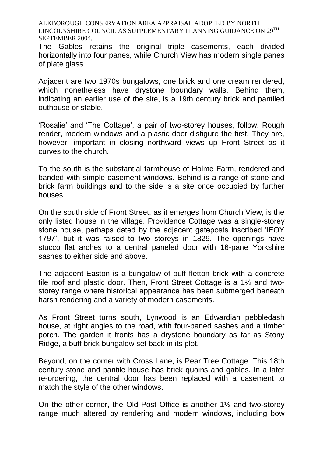The Gables retains the original triple casements, each divided horizontally into four panes, while Church View has modern single panes of plate glass.

Adjacent are two 1970s bungalows, one brick and one cream rendered, which nonetheless have drystone boundary walls. Behind them, indicating an earlier use of the site, is a 19th century brick and pantiled outhouse or stable.

'Rosalie' and 'The Cottage', a pair of two-storey houses, follow. Rough render, modern windows and a plastic door disfigure the first. They are, however, important in closing northward views up Front Street as it curves to the church.

To the south is the substantial farmhouse of Holme Farm, rendered and banded with simple casement windows. Behind is a range of stone and brick farm buildings and to the side is a site once occupied by further houses.

On the south side of Front Street, as it emerges from Church View, is the only listed house in the village. Providence Cottage was a single-storey stone house, perhaps dated by the adjacent gateposts inscribed 'IFOY 1797', but it was raised to two storeys in 1829. The openings have stucco flat arches to a central paneled door with 16-pane Yorkshire sashes to either side and above.

The adjacent Easton is a bungalow of buff fletton brick with a concrete tile roof and plastic door. Then, Front Street Cottage is a 1½ and twostorey range where historical appearance has been submerged beneath harsh rendering and a variety of modern casements.

As Front Street turns south, Lynwood is an Edwardian pebbledash house, at right angles to the road, with four-paned sashes and a timber porch. The garden it fronts has a drystone boundary as far as Stony Ridge, a buff brick bungalow set back in its plot.

Beyond, on the corner with Cross Lane, is Pear Tree Cottage. This 18th century stone and pantile house has brick quoins and gables. In a later re-ordering, the central door has been replaced with a casement to match the style of the other windows.

On the other corner, the Old Post Office is another 1½ and two-storey range much altered by rendering and modern windows, including bow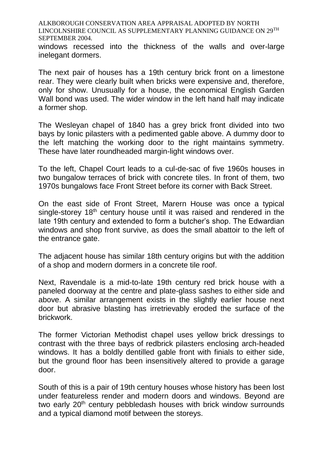windows recessed into the thickness of the walls and over-large inelegant dormers.

The next pair of houses has a 19th century brick front on a limestone rear. They were clearly built when bricks were expensive and, therefore, only for show. Unusually for a house, the economical English Garden Wall bond was used. The wider window in the left hand half may indicate a former shop.

The Wesleyan chapel of 1840 has a grey brick front divided into two bays by Ionic pilasters with a pedimented gable above. A dummy door to the left matching the working door to the right maintains symmetry. These have later roundheaded margin-light windows over.

To the left, Chapel Court leads to a cul-de-sac of five 1960s houses in two bungalow terraces of brick with concrete tiles. In front of them, two 1970s bungalows face Front Street before its corner with Back Street.

On the east side of Front Street, Marern House was once a typical single-storey 18<sup>th</sup> century house until it was raised and rendered in the late 19th century and extended to form a butcher's shop. The Edwardian windows and shop front survive, as does the small abattoir to the left of the entrance gate.

The adjacent house has similar 18th century origins but with the addition of a shop and modern dormers in a concrete tile roof.

Next, Ravendale is a mid-to-late 19th century red brick house with a paneled doorway at the centre and plate-glass sashes to either side and above. A similar arrangement exists in the slightly earlier house next door but abrasive blasting has irretrievably eroded the surface of the brickwork.

The former Victorian Methodist chapel uses yellow brick dressings to contrast with the three bays of redbrick pilasters enclosing arch-headed windows. It has a boldly dentilled gable front with finials to either side, but the ground floor has been insensitively altered to provide a garage door.

South of this is a pair of 19th century houses whose history has been lost under featureless render and modern doors and windows. Beyond are two early 20<sup>th</sup> century pebbledash houses with brick window surrounds and a typical diamond motif between the storeys.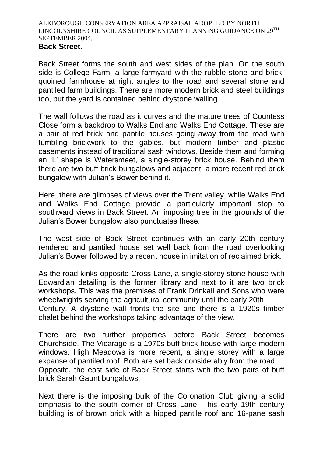#### **Back Street.**

Back Street forms the south and west sides of the plan. On the south side is College Farm, a large farmyard with the rubble stone and brickquoined farmhouse at right angles to the road and several stone and pantiled farm buildings. There are more modern brick and steel buildings too, but the yard is contained behind drystone walling.

The wall follows the road as it curves and the mature trees of Countess Close form a backdrop to Walks End and Walks End Cottage. These are a pair of red brick and pantile houses going away from the road with tumbling brickwork to the gables, but modern timber and plastic casements instead of traditional sash windows. Beside them and forming an 'L' shape is Watersmeet, a single-storey brick house. Behind them there are two buff brick bungalows and adjacent, a more recent red brick bungalow with Julian's Bower behind it.

Here, there are glimpses of views over the Trent valley, while Walks End and Walks End Cottage provide a particularly important stop to southward views in Back Street. An imposing tree in the grounds of the Julian's Bower bungalow also punctuates these.

The west side of Back Street continues with an early 20th century rendered and pantiled house set well back from the road overlooking Julian's Bower followed by a recent house in imitation of reclaimed brick.

As the road kinks opposite Cross Lane, a single-storey stone house with Edwardian detailing is the former library and next to it are two brick workshops. This was the premises of Frank Drinkall and Sons who were wheelwrights serving the agricultural community until the early 20th Century. A drystone wall fronts the site and there is a 1920s timber chalet behind the workshops taking advantage of the view.

There are two further properties before Back Street becomes Churchside. The Vicarage is a 1970s buff brick house with large modern windows. High Meadows is more recent, a single storey with a large expanse of pantiled roof. Both are set back considerably from the road. Opposite, the east side of Back Street starts with the two pairs of buff brick Sarah Gaunt bungalows.

Next there is the imposing bulk of the Coronation Club giving a solid emphasis to the south corner of Cross Lane. This early 19th century building is of brown brick with a hipped pantile roof and 16-pane sash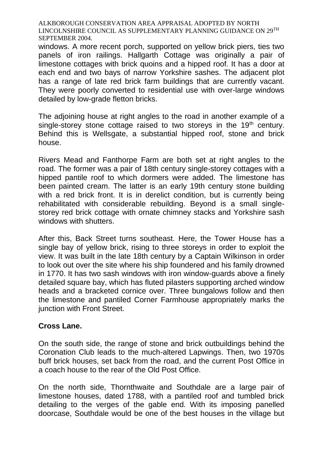windows. A more recent porch, supported on yellow brick piers, ties two panels of iron railings. Hallgarth Cottage was originally a pair of limestone cottages with brick quoins and a hipped roof. It has a door at each end and two bays of narrow Yorkshire sashes. The adjacent plot has a range of late red brick farm buildings that are currently vacant. They were poorly converted to residential use with over-large windows detailed by low-grade fletton bricks.

The adjoining house at right angles to the road in another example of a single-storey stone cottage raised to two storeys in the 19<sup>th</sup> century. Behind this is Wellsgate, a substantial hipped roof, stone and brick house.

Rivers Mead and Fanthorpe Farm are both set at right angles to the road. The former was a pair of 18th century single-storey cottages with a hipped pantile roof to which dormers were added. The limestone has been painted cream. The latter is an early 19th century stone building with a red brick front. It is in derelict condition, but is currently being rehabilitated with considerable rebuilding. Beyond is a small singlestorey red brick cottage with ornate chimney stacks and Yorkshire sash windows with shutters.

After this, Back Street turns southeast. Here, the Tower House has a single bay of yellow brick, rising to three storeys in order to exploit the view. It was built in the late 18th century by a Captain Wilkinson in order to look out over the site where his ship foundered and his family drowned in 1770. It has two sash windows with iron window-guards above a finely detailed square bay, which has fluted pilasters supporting arched window heads and a bracketed cornice over. Three bungalows follow and then the limestone and pantiled Corner Farmhouse appropriately marks the junction with Front Street.

#### **Cross Lane.**

On the south side, the range of stone and brick outbuildings behind the Coronation Club leads to the much-altered Lapwings. Then, two 1970s buff brick houses, set back from the road, and the current Post Office in a coach house to the rear of the Old Post Office.

On the north side, Thornthwaite and Southdale are a large pair of limestone houses, dated 1788, with a pantiled roof and tumbled brick detailing to the verges of the gable end. With its imposing panelled doorcase, Southdale would be one of the best houses in the village but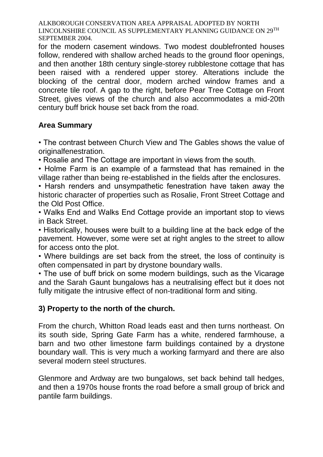for the modern casement windows. Two modest doublefronted houses follow, rendered with shallow arched heads to the ground floor openings, and then another 18th century single-storey rubblestone cottage that has been raised with a rendered upper storey. Alterations include the blocking of the central door, modern arched window frames and a concrete tile roof. A gap to the right, before Pear Tree Cottage on Front Street, gives views of the church and also accommodates a mid-20th century buff brick house set back from the road.

## **Area Summary**

• The contrast between Church View and The Gables shows the value of originalfenestration.

• Rosalie and The Cottage are important in views from the south.

• Holme Farm is an example of a farmstead that has remained in the village rather than being re-established in the fields after the enclosures.

• Harsh renders and unsympathetic fenestration have taken away the historic character of properties such as Rosalie, Front Street Cottage and the Old Post Office.

• Walks End and Walks End Cottage provide an important stop to views in Back Street.

• Historically, houses were built to a building line at the back edge of the pavement. However, some were set at right angles to the street to allow for access onto the plot.

• Where buildings are set back from the street, the loss of continuity is often compensated in part by drystone boundary walls.

• The use of buff brick on some modern buildings, such as the Vicarage and the Sarah Gaunt bungalows has a neutralising effect but it does not fully mitigate the intrusive effect of non-traditional form and siting.

## **3) Property to the north of the church.**

From the church, Whitton Road leads east and then turns northeast. On its south side, Spring Gate Farm has a white, rendered farmhouse, a barn and two other limestone farm buildings contained by a drystone boundary wall. This is very much a working farmyard and there are also several modern steel structures.

Glenmore and Ardway are two bungalows, set back behind tall hedges, and then a 1970s house fronts the road before a small group of brick and pantile farm buildings.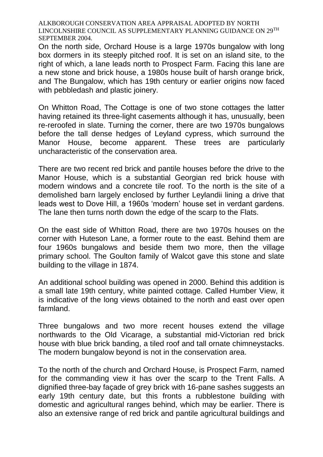On the north side, Orchard House is a large 1970s bungalow with long box dormers in its steeply pitched roof. It is set on an island site, to the right of which, a lane leads north to Prospect Farm. Facing this lane are a new stone and brick house, a 1980s house built of harsh orange brick, and The Bungalow, which has 19th century or earlier origins now faced with pebbledash and plastic joinery.

On Whitton Road, The Cottage is one of two stone cottages the latter having retained its three-light casements although it has, unusually, been re-reroofed in slate. Turning the corner, there are two 1970s bungalows before the tall dense hedges of Leyland cypress, which surround the Manor House, become apparent. These trees are particularly uncharacteristic of the conservation area.

There are two recent red brick and pantile houses before the drive to the Manor House, which is a substantial Georgian red brick house with modern windows and a concrete tile roof. To the north is the site of a demolished barn largely enclosed by further Leylandii lining a drive that leads west to Dove Hill, a 1960s 'modern' house set in verdant gardens. The lane then turns north down the edge of the scarp to the Flats.

On the east side of Whitton Road, there are two 1970s houses on the corner with Huteson Lane, a former route to the east. Behind them are four 1960s bungalows and beside them two more, then the village primary school. The Goulton family of Walcot gave this stone and slate building to the village in 1874.

An additional school building was opened in 2000. Behind this addition is a small late 19th century, white painted cottage. Called Humber View, it is indicative of the long views obtained to the north and east over open farmland.

Three bungalows and two more recent houses extend the village northwards to the Old Vicarage, a substantial mid-Victorian red brick house with blue brick banding, a tiled roof and tall ornate chimneystacks. The modern bungalow beyond is not in the conservation area.

To the north of the church and Orchard House, is Prospect Farm, named for the commanding view it has over the scarp to the Trent Falls. A dignified three-bay façade of grey brick with 16-pane sashes suggests an early 19th century date, but this fronts a rubblestone building with domestic and agricultural ranges behind, which may be earlier. There is also an extensive range of red brick and pantile agricultural buildings and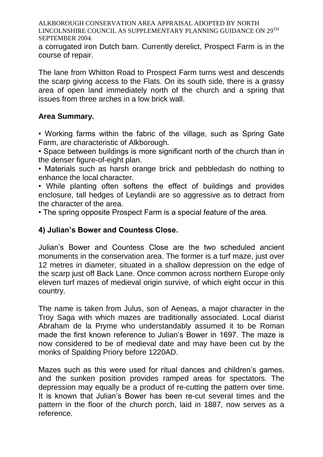a corrugated iron Dutch barn. Currently derelict, Prospect Farm is in the course of repair.

The lane from Whitton Road to Prospect Farm turns west and descends the scarp giving access to the Flats. On its south side, there is a grassy area of open land immediately north of the church and a spring that issues from three arches in a low brick wall.

## **Area Summary.**

• Working farms within the fabric of the village, such as Spring Gate Farm, are characteristic of Alkborough.

• Space between buildings is more significant north of the church than in the denser figure-of-eight plan.

• Materials such as harsh orange brick and pebbledash do nothing to enhance the local character.

• While planting often softens the effect of buildings and provides enclosure, tall hedges of Leylandii are so aggressive as to detract from the character of the area.

• The spring opposite Prospect Farm is a special feature of the area.

## **4) Julian's Bower and Countess Close.**

Julian's Bower and Countess Close are the two scheduled ancient monuments in the conservation area. The former is a turf maze, just over 12 metres in diameter, situated in a shallow depression on the edge of the scarp just off Back Lane. Once common across northern Europe only eleven turf mazes of medieval origin survive, of which eight occur in this country.

The name is taken from Julus, son of Aeneas, a major character in the Troy Saga with which mazes are traditionally associated. Local diarist Abraham de la Pryme who understandably assumed it to be Roman made the first known reference to Julian's Bower in 1697. The maze is now considered to be of medieval date and may have been cut by the monks of Spalding Priory before 1220AD.

Mazes such as this were used for ritual dances and children's games, and the sunken position provides ramped areas for spectators. The depression may equally be a product of re-cutting the pattern over time. It is known that Julian's Bower has been re-cut several times and the pattern in the floor of the church porch, laid in 1887, now serves as a reference.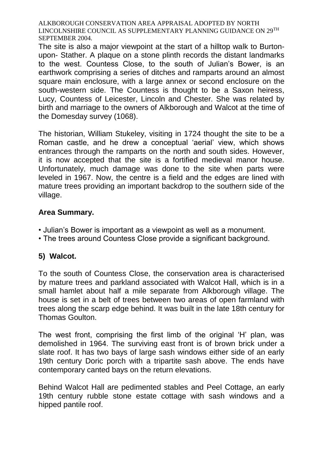The site is also a major viewpoint at the start of a hilltop walk to Burtonupon- Stather. A plaque on a stone plinth records the distant landmarks to the west. Countess Close, to the south of Julian's Bower, is an earthwork comprising a series of ditches and ramparts around an almost square main enclosure, with a large annex or second enclosure on the south-western side. The Countess is thought to be a Saxon heiress, Lucy, Countess of Leicester, Lincoln and Chester. She was related by birth and marriage to the owners of Alkborough and Walcot at the time of the Domesday survey (1068).

The historian, William Stukeley, visiting in 1724 thought the site to be a Roman castle, and he drew a conceptual 'aerial' view, which shows entrances through the ramparts on the north and south sides. However, it is now accepted that the site is a fortified medieval manor house. Unfortunately, much damage was done to the site when parts were leveled in 1967. Now, the centre is a field and the edges are lined with mature trees providing an important backdrop to the southern side of the village.

## **Area Summary.**

- Julian's Bower is important as a viewpoint as well as a monument.
- The trees around Countess Close provide a significant background.

## **5) Walcot.**

To the south of Countess Close, the conservation area is characterised by mature trees and parkland associated with Walcot Hall, which is in a small hamlet about half a mile separate from Alkborough village. The house is set in a belt of trees between two areas of open farmland with trees along the scarp edge behind. It was built in the late 18th century for Thomas Goulton.

The west front, comprising the first limb of the original 'H' plan, was demolished in 1964. The surviving east front is of brown brick under a slate roof. It has two bays of large sash windows either side of an early 19th century Doric porch with a tripartite sash above. The ends have contemporary canted bays on the return elevations.

Behind Walcot Hall are pedimented stables and Peel Cottage, an early 19th century rubble stone estate cottage with sash windows and a hipped pantile roof.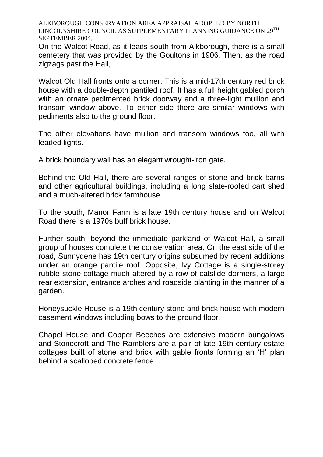On the Walcot Road, as it leads south from Alkborough, there is a small cemetery that was provided by the Goultons in 1906. Then, as the road zigzags past the Hall,

Walcot Old Hall fronts onto a corner. This is a mid-17th century red brick house with a double-depth pantiled roof. It has a full height gabled porch with an ornate pedimented brick doorway and a three-light mullion and transom window above. To either side there are similar windows with pediments also to the ground floor.

The other elevations have mullion and transom windows too, all with leaded lights.

A brick boundary wall has an elegant wrought-iron gate.

Behind the Old Hall, there are several ranges of stone and brick barns and other agricultural buildings, including a long slate-roofed cart shed and a much-altered brick farmhouse.

To the south, Manor Farm is a late 19th century house and on Walcot Road there is a 1970s buff brick house.

Further south, beyond the immediate parkland of Walcot Hall, a small group of houses complete the conservation area. On the east side of the road, Sunnydene has 19th century origins subsumed by recent additions under an orange pantile roof. Opposite, Ivy Cottage is a single-storey rubble stone cottage much altered by a row of catslide dormers, a large rear extension, entrance arches and roadside planting in the manner of a garden.

Honeysuckle House is a 19th century stone and brick house with modern casement windows including bows to the ground floor.

Chapel House and Copper Beeches are extensive modern bungalows and Stonecroft and The Ramblers are a pair of late 19th century estate cottages built of stone and brick with gable fronts forming an 'H' plan behind a scalloped concrete fence.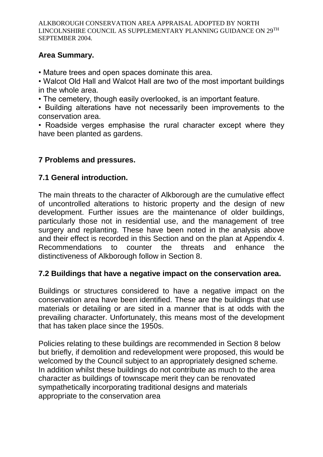## **Area Summary.**

• Mature trees and open spaces dominate this area.

• Walcot Old Hall and Walcot Hall are two of the most important buildings in the whole area.

• The cemetery, though easily overlooked, is an important feature.

• Building alterations have not necessarily been improvements to the conservation area.

• Roadside verges emphasise the rural character except where they have been planted as gardens.

## **7 Problems and pressures.**

## **7.1 General introduction.**

The main threats to the character of Alkborough are the cumulative effect of uncontrolled alterations to historic property and the design of new development. Further issues are the maintenance of older buildings, particularly those not in residential use, and the management of tree surgery and replanting. These have been noted in the analysis above and their effect is recorded in this Section and on the plan at Appendix 4. Recommendations to counter the threats and enhance the distinctiveness of Alkborough follow in Section 8.

## **7.2 Buildings that have a negative impact on the conservation area.**

Buildings or structures considered to have a negative impact on the conservation area have been identified. These are the buildings that use materials or detailing or are sited in a manner that is at odds with the prevailing character. Unfortunately, this means most of the development that has taken place since the 1950s.

Policies relating to these buildings are recommended in Section 8 below but briefly, if demolition and redevelopment were proposed, this would be welcomed by the Council subject to an appropriately designed scheme. In addition whilst these buildings do not contribute as much to the area character as buildings of townscape merit they can be renovated sympathetically incorporating traditional designs and materials appropriate to the conservation area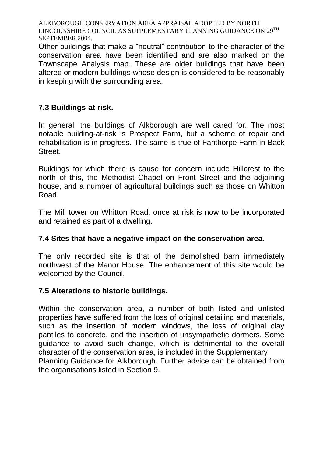Other buildings that make a "neutral" contribution to the character of the conservation area have been identified and are also marked on the Townscape Analysis map. These are older buildings that have been altered or modern buildings whose design is considered to be reasonably in keeping with the surrounding area.

## **7.3 Buildings-at-risk.**

In general, the buildings of Alkborough are well cared for. The most notable building-at-risk is Prospect Farm, but a scheme of repair and rehabilitation is in progress. The same is true of Fanthorpe Farm in Back Street.

Buildings for which there is cause for concern include Hillcrest to the north of this, the Methodist Chapel on Front Street and the adjoining house, and a number of agricultural buildings such as those on Whitton Road.

The Mill tower on Whitton Road, once at risk is now to be incorporated and retained as part of a dwelling.

## **7.4 Sites that have a negative impact on the conservation area.**

The only recorded site is that of the demolished barn immediately northwest of the Manor House. The enhancement of this site would be welcomed by the Council.

## **7.5 Alterations to historic buildings.**

Within the conservation area, a number of both listed and unlisted properties have suffered from the loss of original detailing and materials, such as the insertion of modern windows, the loss of original clay pantiles to concrete, and the insertion of unsympathetic dormers. Some guidance to avoid such change, which is detrimental to the overall character of the conservation area, is included in the Supplementary Planning Guidance for Alkborough. Further advice can be obtained from the organisations listed in Section 9.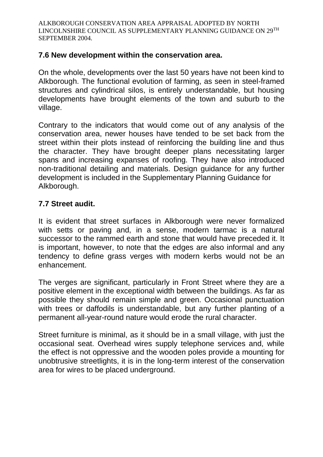## **7.6 New development within the conservation area.**

On the whole, developments over the last 50 years have not been kind to Alkborough. The functional evolution of farming, as seen in steel-framed structures and cylindrical silos, is entirely understandable, but housing developments have brought elements of the town and suburb to the village.

Contrary to the indicators that would come out of any analysis of the conservation area, newer houses have tended to be set back from the street within their plots instead of reinforcing the building line and thus the character. They have brought deeper plans necessitating larger spans and increasing expanses of roofing. They have also introduced non-traditional detailing and materials. Design guidance for any further development is included in the Supplementary Planning Guidance for Alkborough.

## **7.7 Street audit.**

It is evident that street surfaces in Alkborough were never formalized with setts or paving and, in a sense, modern tarmac is a natural successor to the rammed earth and stone that would have preceded it. It is important, however, to note that the edges are also informal and any tendency to define grass verges with modern kerbs would not be an enhancement.

The verges are significant, particularly in Front Street where they are a positive element in the exceptional width between the buildings. As far as possible they should remain simple and green. Occasional punctuation with trees or daffodils is understandable, but any further planting of a permanent all-year-round nature would erode the rural character.

Street furniture is minimal, as it should be in a small village, with just the occasional seat. Overhead wires supply telephone services and, while the effect is not oppressive and the wooden poles provide a mounting for unobtrusive streetlights, it is in the long-term interest of the conservation area for wires to be placed underground.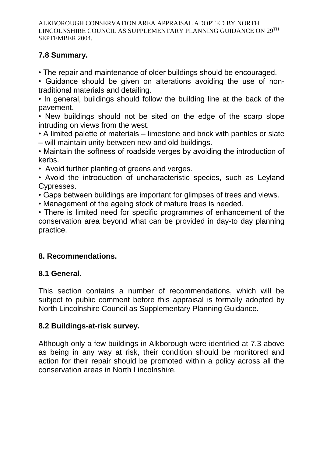## **7.8 Summary.**

• The repair and maintenance of older buildings should be encouraged.

• Guidance should be given on alterations avoiding the use of nontraditional materials and detailing.

• In general, buildings should follow the building line at the back of the pavement.

• New buildings should not be sited on the edge of the scarp slope intruding on views from the west.

• A limited palette of materials – limestone and brick with pantiles or slate – will maintain unity between new and old buildings.

• Maintain the softness of roadside verges by avoiding the introduction of kerbs.

• Avoid further planting of greens and verges.

• Avoid the introduction of uncharacteristic species, such as Leyland Cypresses.

• Gaps between buildings are important for glimpses of trees and views.

• Management of the ageing stock of mature trees is needed.

• There is limited need for specific programmes of enhancement of the conservation area beyond what can be provided in day-to day planning practice.

## **8. Recommendations.**

## **8.1 General.**

This section contains a number of recommendations, which will be subject to public comment before this appraisal is formally adopted by North Lincolnshire Council as Supplementary Planning Guidance.

## **8.2 Buildings-at-risk survey.**

Although only a few buildings in Alkborough were identified at 7.3 above as being in any way at risk, their condition should be monitored and action for their repair should be promoted within a policy across all the conservation areas in North Lincolnshire.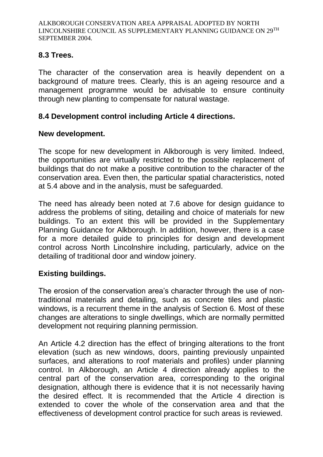## **8.3 Trees.**

The character of the conservation area is heavily dependent on a background of mature trees. Clearly, this is an ageing resource and a management programme would be advisable to ensure continuity through new planting to compensate for natural wastage.

## **8.4 Development control including Article 4 directions.**

## **New development.**

The scope for new development in Alkborough is very limited. Indeed, the opportunities are virtually restricted to the possible replacement of buildings that do not make a positive contribution to the character of the conservation area. Even then, the particular spatial characteristics, noted at 5.4 above and in the analysis, must be safeguarded.

The need has already been noted at 7.6 above for design guidance to address the problems of siting, detailing and choice of materials for new buildings. To an extent this will be provided in the Supplementary Planning Guidance for Alkborough. In addition, however, there is a case for a more detailed guide to principles for design and development control across North Lincolnshire including, particularly, advice on the detailing of traditional door and window joinery.

## **Existing buildings.**

The erosion of the conservation area's character through the use of nontraditional materials and detailing, such as concrete tiles and plastic windows, is a recurrent theme in the analysis of Section 6. Most of these changes are alterations to single dwellings, which are normally permitted development not requiring planning permission.

An Article 4.2 direction has the effect of bringing alterations to the front elevation (such as new windows, doors, painting previously unpainted surfaces, and alterations to roof materials and profiles) under planning control. In Alkborough, an Article 4 direction already applies to the central part of the conservation area, corresponding to the original designation, although there is evidence that it is not necessarily having the desired effect. It is recommended that the Article 4 direction is extended to cover the whole of the conservation area and that the effectiveness of development control practice for such areas is reviewed.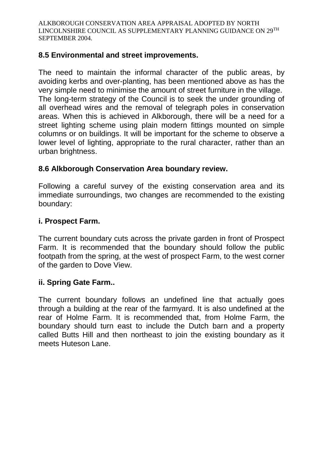## **8.5 Environmental and street improvements.**

The need to maintain the informal character of the public areas, by avoiding kerbs and over-planting, has been mentioned above as has the very simple need to minimise the amount of street furniture in the village. The long-term strategy of the Council is to seek the under grounding of all overhead wires and the removal of telegraph poles in conservation areas. When this is achieved in Alkborough, there will be a need for a street lighting scheme using plain modern fittings mounted on simple columns or on buildings. It will be important for the scheme to observe a lower level of lighting, appropriate to the rural character, rather than an urban brightness.

## **8.6 Alkborough Conservation Area boundary review.**

Following a careful survey of the existing conservation area and its immediate surroundings, two changes are recommended to the existing boundary:

#### **i. Prospect Farm.**

The current boundary cuts across the private garden in front of Prospect Farm. It is recommended that the boundary should follow the public footpath from the spring, at the west of prospect Farm, to the west corner of the garden to Dove View.

#### **ii. Spring Gate Farm..**

The current boundary follows an undefined line that actually goes through a building at the rear of the farmyard. It is also undefined at the rear of Holme Farm. It is recommended that, from Holme Farm, the boundary should turn east to include the Dutch barn and a property called Butts Hill and then northeast to join the existing boundary as it meets Huteson Lane.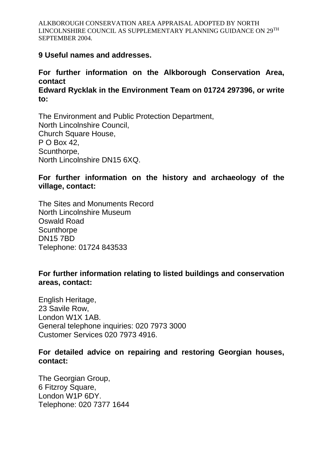#### **9 Useful names and addresses.**

#### **For further information on the Alkborough Conservation Area, contact Edward Rycklak in the Environment Team on 01724 297396, or write to:**

The Environment and Public Protection Department, North Lincolnshire Council, Church Square House, P O Box 42, Scunthorpe, North Lincolnshire DN15 6XQ.

### **For further information on the history and archaeology of the village, contact:**

The Sites and Monuments Record North Lincolnshire Museum Oswald Road **Scunthorpe** DN15 7BD Telephone: 01724 843533

#### **For further information relating to listed buildings and conservation areas, contact:**

English Heritage, 23 Savile Row, London W1X 1AB. General telephone inquiries: 020 7973 3000 Customer Services 020 7973 4916.

#### **For detailed advice on repairing and restoring Georgian houses, contact:**

The Georgian Group, 6 Fitzroy Square, London W1P 6DY. Telephone: 020 7377 1644